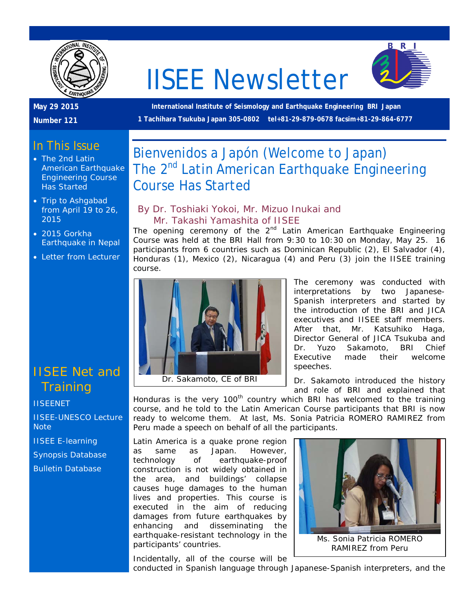

# IISEE Newsletter



#### **May 29 2015**

**Number 121**

**International Institute of Seismology and Earthquake Engineering BRI Japan 1 Tachihara Tsukuba Japan 305-0802 tel+81-29-879-0678 facsim+81-29-864-6777**

# In This Issue

- The 2nd Latin American Earthquake Engineering Course Has Started
- Trip to Ashgabad from April 19 to 26, 2015
- 2015 Gorkha Earthquake in Nepal
- Letter from Lecturer

# IISEE Net and **Training**

#### **[IISEENET](http://iisee.kenken.go.jp/net/)**

[IISEE-UNESCO Lecture](http://iisee/lna/)  **[Note](http://iisee/lna/)** 

[IISEE E-learning](http://iisee/el/)

[Synopsis Database](http://iisee/syndb/) [Bulletin Database](http://iisee/bltndb/)

# Bienvenidos a Japón (Welcome to Japan) The 2<sup>nd</sup> Latin American Earthquake Engineering Course Has Started

#### *By Dr. Toshiaki Yokoi, Mr. Mizuo Inukai and Mr. Takashi Yamashita of IISEE*

The opening ceremony of the  $2<sup>nd</sup>$  Latin American Earthquake Engineering Course was held at the BRI Hall from 9:30 to 10:30 on Monday, May 25. 16 participants from 6 countries such as Dominican Republic (2), El Salvador (4), Honduras (1), Mexico (2), Nicaragua (4) and Peru (3) join the IISEE training course.



The ceremony was conducted with interpretations by two Japanese-Spanish interpreters and started by the introduction of the BRI and JICA executives and IISEE staff members. After that, Mr. Katsuhiko Haga, Director General of JICA Tsukuba and Dr. Yuzo Sakamoto, BRI Chief Executive made their welcome speeches.

Dr. Sakamoto introduced the history and role of BRI and explained that

Honduras is the very 100<sup>th</sup> country which BRI has welcomed to the training course, and he told to the Latin American Course participants that BRI is now ready to welcome them. At last, Ms. Sonia Patricia ROMERO RAMIREZ from Peru made a speech on behalf of all the participants.

Latin America is a quake prone region as same as Japan. However, technology of earthquake-proof construction is not widely obtained in the area, and buildings' collapse causes huge damages to the human lives and properties. This course is executed in the aim of reducing damages from future earthquakes by enhancing and disseminating the earthquake-resistant technology in the participants' countries.



Incidentally, all of the course will be

conducted in Spanish language through Japanese-Spanish interpreters, and the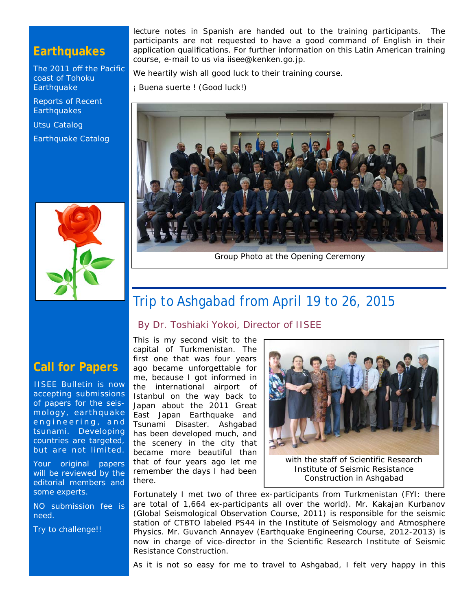## **Earthquakes**

[The 2011 off the Pacific](http://iisee/special2/20110311tohoku.htm)  [coast of Tohoku](http://iisee/special2/20110311tohoku.htm)  **[Earthquake](http://iisee/special2/20110311tohoku.htm)** 

[Reports of Recent](http://iisee/quakes.htm)  **[Earthquakes](http://iisee/quakes.htm)** 

[Utsu Catalog](http://iisee/utsu/index_eng.html)

[Earthquake Catalog](http://iisee/eqcat/Top_page_en.htm)



lecture notes in Spanish are handed out to the training participants. The participants are not requested to have a good command of English in their application qualifications. For further information on this Latin American training course, e-mail to us via iisee@kenken.go.jp.

We heartily wish all good luck to their training course.

¡ Buena suerte ! (Good luck!)



Group Photo at the Opening Ceremony

# Trip to Ashgabad from April 19 to 26, 2015

*By Dr. Toshiaki Yokoi, Director of IISEE*

## **Call for Papers**

IISEE Bulletin is now accepting submissions of papers for the seismology, earthquake engineering, and tsunami. Developing countries are targeted, but are not limited.

Your original papers will be reviewed by the editorial members and some experts.

NO submission fee is need.

Try to challenge!!

This is my second visit to the capital of Turkmenistan. The first one that was four years ago became unforgettable for me, because I got informed in the international airport of Istanbul on the way back to Japan about the 2011 Great East Japan Earthquake and Tsunami Disaster. Ashgabad has been developed much, and the scenery in the city that became more beautiful than that of four years ago let me remember the days I had been there.



Institute of Seismic Resistance Construction in Ashgabad

Fortunately I met two of three ex-participants from Turkmenistan (FYI: there are total of 1,664 ex-participants all over the world). Mr. Kakajan Kurbanov (Global Seismological Observation Course, 2011) is responsible for the seismic station of CTBTO labeled PS44 in the Institute of Seismology and Atmosphere Physics. Mr. Guvanch Annayev (Earthquake Engineering Course, 2012-2013) is now in charge of vice-director in the Scientific Research Institute of Seismic Resistance Construction.

As it is not so easy for me to travel to Ashgabad, I felt very happy in this